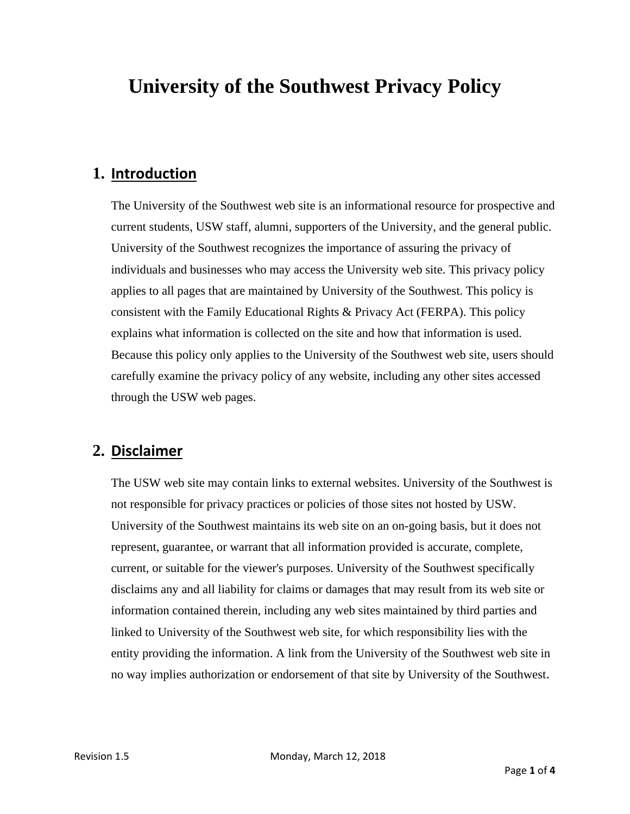# **University of the Southwest Privacy Policy**

#### **1. Introduction**

The University of the Southwest web site is an informational resource for prospective and current students, USW staff, alumni, supporters of the University, and the general public. University of the Southwest recognizes the importance of assuring the privacy of individuals and businesses who may access the University web site. This privacy policy applies to all pages that are maintained by University of the Southwest. This policy is consistent with the Family Educational Rights & Privacy Act (FERPA). This policy explains what information is collected on the site and how that information is used. Because this policy only applies to the University of the Southwest web site, users should carefully examine the privacy policy of any website, including any other sites accessed through the USW web pages.

#### **2. Disclaimer**

The USW web site may contain links to external websites. University of the Southwest is not responsible for privacy practices or policies of those sites not hosted by USW. University of the Southwest maintains its web site on an on-going basis, but it does not represent, guarantee, or warrant that all information provided is accurate, complete, current, or suitable for the viewer's purposes. University of the Southwest specifically disclaims any and all liability for claims or damages that may result from its web site or information contained therein, including any web sites maintained by third parties and linked to University of the Southwest web site, for which responsibility lies with the entity providing the information. A link from the University of the Southwest web site in no way implies authorization or endorsement of that site by University of the Southwest.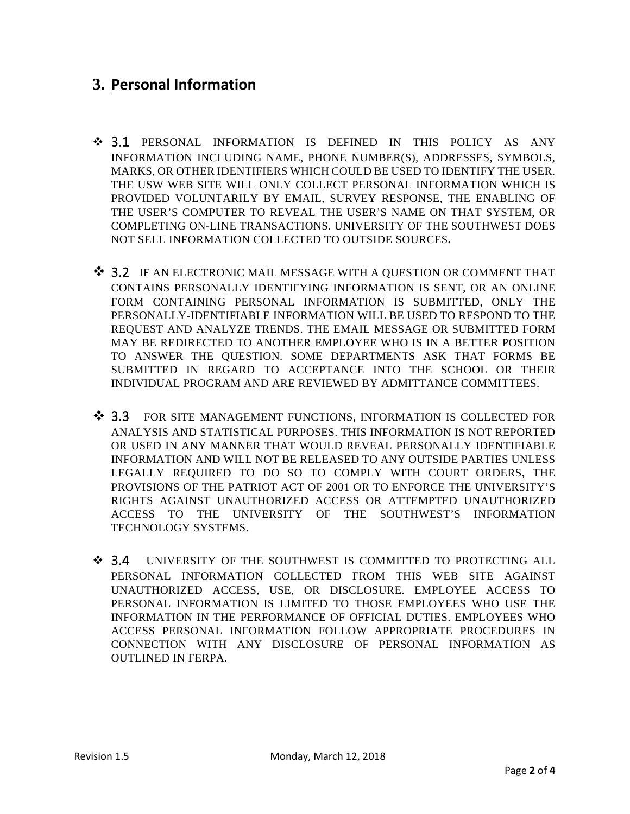# **3. Personal Information**

- 3.1 PERSONAL INFORMATION IS DEFINED IN THIS POLICY AS ANY INFORMATION INCLUDING NAME, PHONE NUMBER(S), ADDRESSES, SYMBOLS, MARKS, OR OTHER IDENTIFIERS WHICH COULD BE USED TO IDENTIFY THE USER. THE USW WEB SITE WILL ONLY COLLECT PERSONAL INFORMATION WHICH IS PROVIDED VOLUNTARILY BY EMAIL, SURVEY RESPONSE, THE ENABLING OF THE USER'S COMPUTER TO REVEAL THE USER'S NAME ON THAT SYSTEM, OR COMPLETING ON-LINE TRANSACTIONS. UNIVERSITY OF THE SOUTHWEST DOES NOT SELL INFORMATION COLLECTED TO OUTSIDE SOURCES**.**
- $\clubsuit$  3.2 IF AN ELECTRONIC MAIL MESSAGE WITH A QUESTION OR COMMENT THAT CONTAINS PERSONALLY IDENTIFYING INFORMATION IS SENT, OR AN ONLINE FORM CONTAINING PERSONAL INFORMATION IS SUBMITTED, ONLY THE PERSONALLY-IDENTIFIABLE INFORMATION WILL BE USED TO RESPOND TO THE REQUEST AND ANALYZE TRENDS. THE EMAIL MESSAGE OR SUBMITTED FORM MAY BE REDIRECTED TO ANOTHER EMPLOYEE WHO IS IN A BETTER POSITION TO ANSWER THE QUESTION. SOME DEPARTMENTS ASK THAT FORMS BE SUBMITTED IN REGARD TO ACCEPTANCE INTO THE SCHOOL OR THEIR INDIVIDUAL PROGRAM AND ARE REVIEWED BY ADMITTANCE COMMITTEES.
- ◆ 3.3 FOR SITE MANAGEMENT FUNCTIONS, INFORMATION IS COLLECTED FOR ANALYSIS AND STATISTICAL PURPOSES. THIS INFORMATION IS NOT REPORTED OR USED IN ANY MANNER THAT WOULD REVEAL PERSONALLY IDENTIFIABLE INFORMATION AND WILL NOT BE RELEASED TO ANY OUTSIDE PARTIES UNLESS LEGALLY REQUIRED TO DO SO TO COMPLY WITH COURT ORDERS, THE PROVISIONS OF THE PATRIOT ACT OF 2001 OR TO ENFORCE THE UNIVERSITY'S RIGHTS AGAINST UNAUTHORIZED ACCESS OR ATTEMPTED UNAUTHORIZED ACCESS TO THE UNIVERSITY OF THE SOUTHWEST'S INFORMATION TECHNOLOGY SYSTEMS.
- $\div$  3.4 UNIVERSITY OF THE SOUTHWEST IS COMMITTED TO PROTECTING ALL PERSONAL INFORMATION COLLECTED FROM THIS WEB SITE AGAINST UNAUTHORIZED ACCESS, USE, OR DISCLOSURE. EMPLOYEE ACCESS TO PERSONAL INFORMATION IS LIMITED TO THOSE EMPLOYEES WHO USE THE INFORMATION IN THE PERFORMANCE OF OFFICIAL DUTIES. EMPLOYEES WHO ACCESS PERSONAL INFORMATION FOLLOW APPROPRIATE PROCEDURES IN CONNECTION WITH ANY DISCLOSURE OF PERSONAL INFORMATION AS OUTLINED IN FERPA.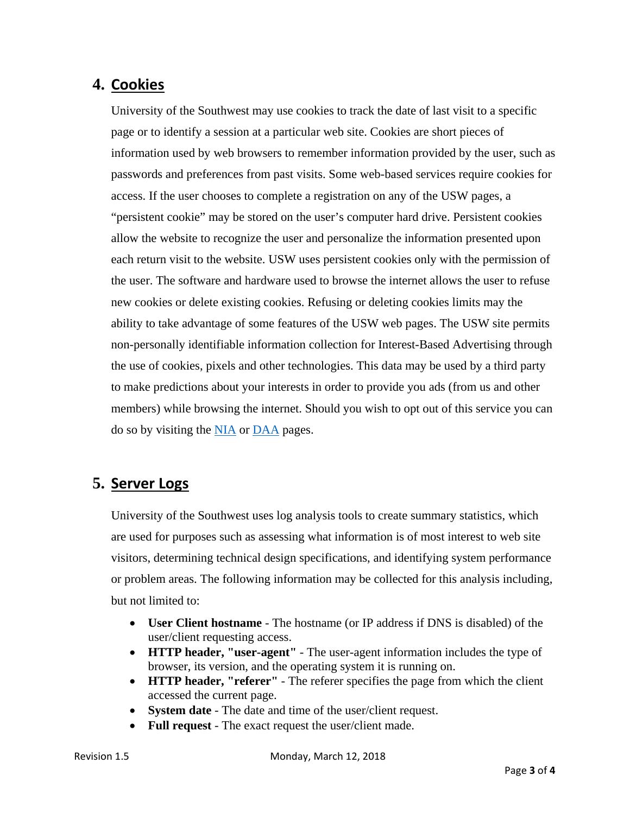## **4. Cookies**

University of the Southwest may use cookies to track the date of last visit to a specific page or to identify a session at a particular web site. Cookies are short pieces of information used by web browsers to remember information provided by the user, such as passwords and preferences from past visits. Some web-based services require cookies for access. If the user chooses to complete a registration on any of the USW pages, a "persistent cookie" may be stored on the user's computer hard drive. Persistent cookies allow the website to recognize the user and personalize the information presented upon each return visit to the website. USW uses persistent cookies only with the permission of the user. The software and hardware used to browse the internet allows the user to refuse new cookies or delete existing cookies. Refusing or deleting cookies limits may the ability to take advantage of some features of the USW web pages. The USW site permits non-personally identifiable information collection for Interest-Based Advertising through the use of cookies, pixels and other technologies. This data may be used by a third party to make predictions about your interests in order to provide you ads (from us and other members) while browsing the internet. Should you wish to opt out of this service you can do so by visiting the NIA or DAA pages.

### **5. Server Logs**

University of the Southwest uses log analysis tools to create summary statistics, which are used for purposes such as assessing what information is of most interest to web site visitors, determining technical design specifications, and identifying system performance or problem areas. The following information may be collected for this analysis including, but not limited to:

- **User Client hostname**  The hostname (or IP address if DNS is disabled) of the user/client requesting access.
- **HTTP header, "user-agent"**  The user-agent information includes the type of browser, its version, and the operating system it is running on.
- **HTTP header, "referer"**  The referer specifies the page from which the client accessed the current page.
- **System date**  The date and time of the user/client request.
- **Full request**  The exact request the user/client made.